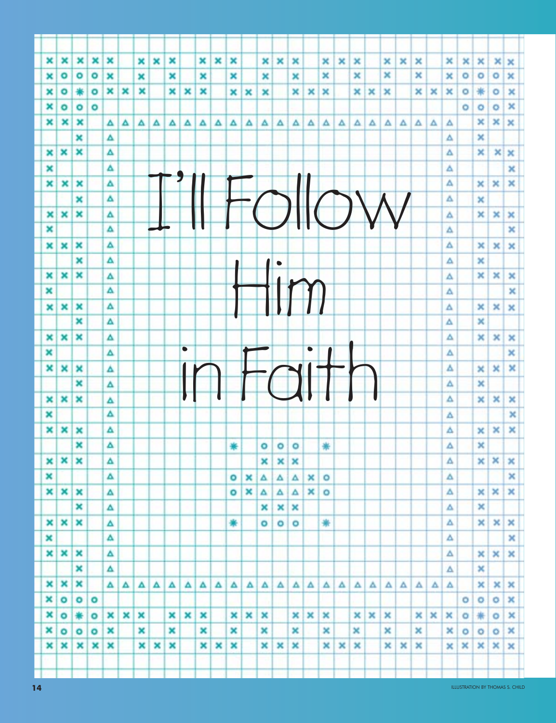| ×          | ×            | ×      | ×         | ×      |   | ×      | × | × |           | × | × | × |   | ×       | ×         | × |           | ×       | × | × |   | × | × | × |   | ×      | ×       | ×      | ×       |                       |  |
|------------|--------------|--------|-----------|--------|---|--------|---|---|-----------|---|---|---|---|---------|-----------|---|-----------|---------|---|---|---|---|---|---|---|--------|---------|--------|---------|-----------------------|--|
| ×          | $\circ$      | ۰      | ۰         | ×      |   |        |   | × |           | × |   | × |   | ×       |           | × |           | ×       |   | × |   | × |   | × |   | ×      | $\circ$ | ۰      | ۰       | ×<br>×                |  |
|            | ۰            | ₩      | ۰         | ×      | × | ×<br>× |   | × | ×         | × |   |   |   |         |           | × | ×         | ×       |   | × | × | × |   | × | × | ×      | $\circ$ | ₩      | ۰       | ×                     |  |
| ×          |              |        |           |        |   |        |   |   |           |   |   | × | × | ×       |           |   |           |         |   |   |   |   |   |   |   |        |         |        |         | ×                     |  |
| ×<br>×     | $\circ$<br>× | ۰<br>× | ۰         |        |   |        |   |   |           |   |   |   |   |         |           |   |           |         |   |   |   |   |   |   |   |        | ۰       | ۰<br>× | ۰<br>×  |                       |  |
|            |              | ×      |           | ▵      | Δ | Δ      | Δ | Δ | Δ         | Δ | ▵ | Δ | Δ | Δ       | Δ         | Δ | A         | Δ       | Δ | Δ | Δ | А | Δ | Δ | Δ | Δ<br>Δ |         | ×      |         | ×                     |  |
|            | ×            | ×      |           | Δ<br>Δ |   |        |   |   |           |   |   |   |   |         |           |   |           |         |   |   |   |   |   |   |   | Δ      |         | ×      | ×       |                       |  |
| ×          |              |        |           |        |   |        |   |   |           |   |   |   |   |         |           |   |           |         |   |   |   |   |   |   |   |        |         |        |         | ×                     |  |
| ×          | ×            |        |           | Δ      |   |        |   |   |           |   |   |   |   |         |           |   |           |         |   |   |   |   |   |   |   | Δ<br>Δ |         |        |         | ×<br>×                |  |
| ×          |              | ×      |           | Δ      |   |        |   |   |           |   |   |   |   |         |           |   |           |         |   |   |   |   |   |   |   | Δ      |         | ×      | ×       |                       |  |
|            |              | ×<br>× |           | Δ      |   |        |   |   |           |   |   |   |   |         | $\bigcap$ |   |           |         |   |   |   |   |   |   |   |        |         | ×      |         |                       |  |
| ×<br>×     | ×            |        |           | Δ<br>Δ |   |        |   |   |           |   |   |   |   |         |           |   |           |         |   |   |   |   |   |   |   | Δ      |         | ×      | ×       | ×                     |  |
|            |              |        |           |        |   |        |   |   |           |   |   |   |   |         |           |   |           |         |   |   |   |   |   |   |   | Δ      |         |        |         | ×                     |  |
| ×          | ×            | ×      |           | Δ      |   |        |   |   |           |   |   |   |   |         |           |   |           |         |   |   |   |   |   |   |   | Δ      |         | ×      | ×       | ×                     |  |
|            |              | ×      |           | Δ      |   |        |   |   |           |   |   |   |   |         | $\bullet$ |   |           |         |   |   |   |   |   |   |   | Δ      |         | ×      |         |                       |  |
| ×          | ×            | ×      |           | Δ<br>Δ |   |        |   |   |           |   |   |   |   |         |           |   |           |         |   |   |   |   |   |   |   | Δ      |         | ×      | ×       | $\boldsymbol{\times}$ |  |
| ×          |              |        |           |        |   |        |   |   |           |   |   |   |   |         |           |   |           |         |   |   |   |   |   |   |   | Δ      |         |        |         | ×                     |  |
| ×          | ×            | ×      |           | Δ      |   |        |   |   |           |   |   |   |   |         |           |   |           |         |   |   |   |   |   |   |   | Δ      |         | ×      | ×       | ×                     |  |
|            |              | ×      |           | Δ      |   |        |   |   |           |   |   |   |   |         |           |   |           |         |   |   |   |   |   |   |   | Δ      |         | ×      |         |                       |  |
| ×          | ×            | ×      |           | Δ      |   |        |   |   | $\bullet$ |   |   |   |   |         |           |   | $\bullet$ |         |   |   |   |   |   |   |   | Δ      |         | ×      | ×       | ×                     |  |
| ×          |              |        |           | Δ      |   |        |   |   |           |   |   |   |   |         |           |   |           |         |   |   |   |   |   |   |   | Δ      |         |        |         | ×                     |  |
| ×          | ×            | ×      |           | Δ      |   |        |   |   |           |   |   |   |   |         |           |   |           |         |   |   |   |   |   |   |   | Δ      |         | ×      | ×       | ×                     |  |
|            |              | ×      |           | Δ      |   |        |   |   |           |   |   |   |   |         |           |   |           |         |   |   |   |   |   |   |   | Δ      |         | ×      |         |                       |  |
| ×          | ×            | ×      |           | Δ      |   |        |   |   |           |   |   |   |   |         |           |   |           |         |   |   |   |   |   |   |   | Δ      |         | ×      | ×       | ×                     |  |
| ×          |              |        |           | Δ      |   |        |   |   |           |   |   |   |   |         |           |   |           |         |   |   |   |   |   |   |   | Δ      |         |        |         | ×                     |  |
| ×          | ×            | ×      |           | Δ      |   |        |   |   |           |   |   |   |   |         |           |   |           |         |   |   |   |   |   |   |   | Δ      |         | ×      | ×       | ×                     |  |
|            |              | ×      |           | Δ      |   |        |   |   |           |   |   | ∗ |   | ۰       | $\circ$   | ۰ |           | ₩       |   |   |   |   |   |   |   | Δ      |         | ×      |         |                       |  |
| ×          | ×            | ×      |           | Δ      |   |        |   |   |           |   |   |   |   | ×       | ×         | × |           |         |   |   |   |   |   |   |   | Δ      |         | ×      | ×       | ×                     |  |
| ×          |              |        |           | Δ      |   |        |   |   |           |   |   | ۰ | × | Δ       | Δ         | Δ | ×         | o       |   |   |   |   |   |   |   | Δ      |         |        |         | ×                     |  |
|            | $x \times$   | ×      |           | Δ      |   |        |   |   |           |   |   | ۰ | × | Δ       | Δ         | Δ | ×         | $\circ$ |   |   |   |   |   |   |   | Δ      |         | ×      | ×       | ×                     |  |
|            |              | ×      |           | Δ      |   |        |   |   |           |   |   |   |   | ×       | ×         | × |           |         |   |   |   |   |   |   |   | Δ      |         | ×      |         |                       |  |
| ×l         | ×            | ×      |           | Δ      |   |        |   |   |           |   |   | ₩ |   | $\circ$ | ۰         | ۰ |           | 崇       |   |   |   |   |   |   |   | Δ      |         | ×      | ×       | ×                     |  |
| ×          |              |        |           | Δ      |   |        |   |   |           |   |   |   |   |         |           |   |           |         |   |   |   |   |   |   |   | Δ      |         |        |         | ×                     |  |
|            | $x \mid x$   | ×      |           | Δ      |   |        |   |   |           |   |   |   |   |         |           |   |           |         |   |   |   |   |   |   |   | Δ      |         | ×      | ×       | ×                     |  |
|            |              | ×      |           | Δ      |   |        |   |   |           |   |   |   |   |         |           |   |           |         |   |   |   |   |   |   |   | Δ      |         | ×      |         |                       |  |
| $x \times$ |              | ×      |           | Δ      | Δ | Δ      | Δ | Δ | Δ         | д | Δ | Δ | Δ | Δ       | Δ         | A | Δ         | Δ       | Δ | Δ | Δ | Δ | Δ | Δ | Δ | Δ      |         | ×      | ×       | ×                     |  |
| ×          | ۰            | ۰      | $\circ$   |        |   |        |   |   |           |   |   |   |   |         |           |   |           |         |   |   |   |   |   |   |   |        | $\circ$ | ۰      | ۰       | ×                     |  |
| ×          | $\circ$      | ₩      | $\bullet$ | ×      | × | ×      |   | × | ×         | × |   | × | × | ×       |           | × | ×         | ×       |   | × | × | × |   | × | × | ×      | ۰       | 帯      | $\circ$ | ×                     |  |
| ×          | ۰            | ۰      | $\circ$   | ×      |   | ×      |   | × |           | × |   | × |   | ×       |           | × |           | ×       |   | × |   | × |   | × |   | ×      | $\circ$ | o      | ۰       | ×                     |  |
| $x \mid x$ |              | ×      | ×         | ×      |   | ×      | × | × |           | × | × | × |   | ×       | ×         | × |           | ×       | × | × |   | × | × | × |   | ×      | ×       | ×      | ×       | ×                     |  |
|            |              |        |           |        |   |        |   |   |           |   |   |   |   |         |           |   |           |         |   |   |   |   |   |   |   |        |         |        |         |                       |  |
|            |              |        |           |        |   |        |   |   |           |   |   |   |   |         |           |   |           |         |   |   |   |   |   |   |   |        |         |        |         |                       |  |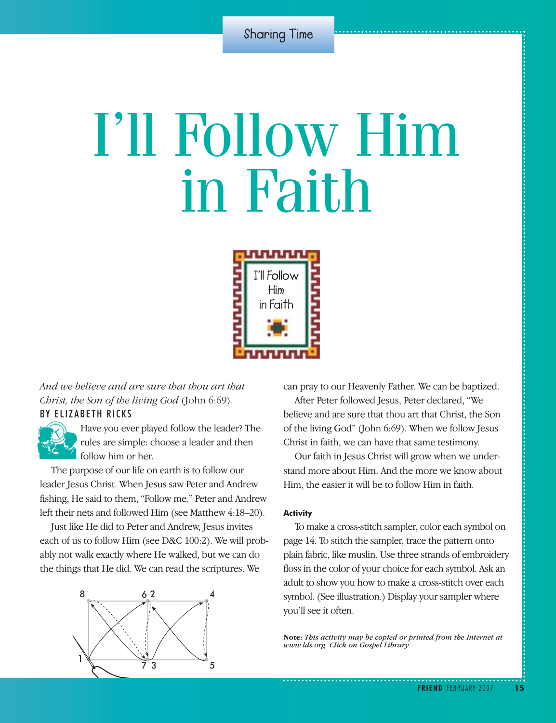# I'll Follow Him in Faith



*And we believe and are sure that thou art that Christ, the Son of the living God* (John 6:69).

# BY ELIZABETH RICKS



Have you ever played follow the leader? The rules are simple: choose a leader and then follow him or her. rules are simple: choose a leader and then follow him or her.

The purpose of our life on earth is to follow our leader Jesus Christ. When Jesus saw Peter and Andrew fishing, He said to them, "Follow me." Peter and Andrew left their nets and followed Him (see Matthew 4:18–20).

Just like He did to Peter and Andrew, Jesus invites each of us to follow Him (see D&C 100:2). We will probably not walk exactly where He walked, but we can do the things that He did. We can read the scriptures. We



can pray to our Heavenly Father. We can be baptized.

After Peter followed Jesus, Peter declared, "We believe and are sure that thou art that Christ, the Son of the living God" (John 6:69). When we follow Jesus Christ in faith, we can have that same testimony.

Our faith in Jesus Christ will grow when we understand more about Him. And the more we know about Him, the easier it will be to follow Him in faith.

### **Activity**

To make a cross-stitch sampler, color each symbol on page 14. To stitch the sampler, trace the pattern onto plain fabric, like muslin. Use three strands of embroidery floss in the color of your choice for each symbol. Ask an adult to show you how to make a cross-stitch over each symbol. (See illustration.) Display your sampler where you'll see it often.

**Note:** *This activity may be copied or printed from the Internet at www.lds.org. Click on Gospel Library.*